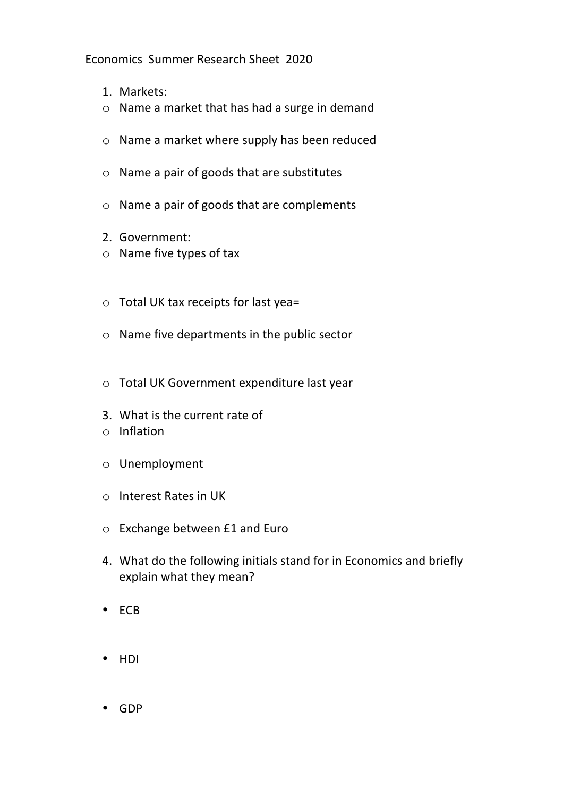## Economics Summer Research Sheet 2020

- 1. Markets:
- $\circ$  Name a market that has had a surge in demand
- $\circ$  Name a market where supply has been reduced
- $\circ$  Name a pair of goods that are substitutes
- $\circ$  Name a pair of goods that are complements
- 2. Government:
- $\circ$  Name five types of tax
- $\circ$  Total UK tax receipts for last yea=
- $\circ$  Name five departments in the public sector
- $\circ$  Total UK Government expenditure last year
- 3. What is the current rate of
- o Inflation
- o Unemployment
- o Interest Rates in UK
- $\circ$  Exchange between £1 and Euro
- 4. What do the following initials stand for in Economics and briefly explain what they mean?
- ECB
- HDI
- GDP